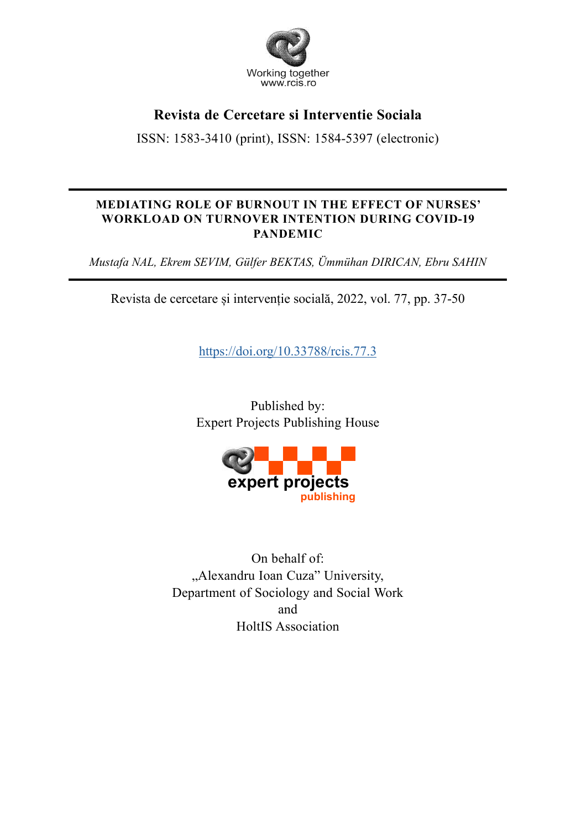

## **Revista de Cercetare si Interventie Sociala**

ISSN: 1583-3410 (print), ISSN: 1584-5397 (electronic)

## **MEDIATING ROLE OF BURNOUT IN THE EFFECT OF NURSES' WORKLOAD ON TURNOVER INTENTION DURING COVID-19 PANDEMIC**

*Mustafa NAL, Ekrem SEVIM, Gülfer BEKTAS, Ümmühan DIRICAN, Ebru SAHIN* 

Revista de cercetare și intervenție socială, 2022, vol. 77, pp. 37-50

https://doi.org/10.33788/rcis.77.3

Published by: Expert Projects Publishing House



On behalf of: "Alexandru Ioan Cuza" University, Department of Sociology and Social Work and HoltIS Association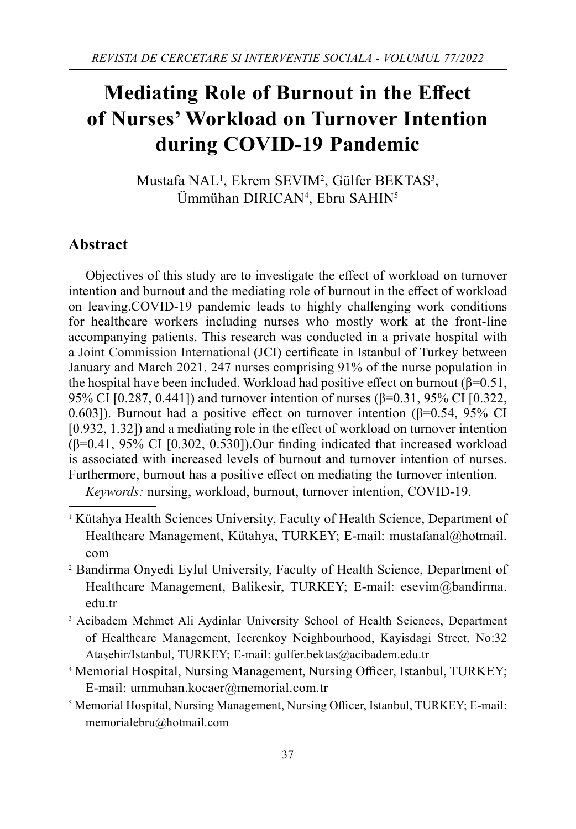# **Mediating Role of Burnout in the Effect of Nurses' Workload on Turnover Intention during COVID-19 Pandemic**

Mustafa NAL<sup>1</sup>, Ekrem SEVIM<sup>2</sup>, Gülfer BEKTAS<sup>3</sup>, Ümmühan DIRICAN4 , Ebru SAHIN5

## **Abstract**

Objectives of this study are to investigate the effect of workload on turnover intention and burnout and the mediating role of burnout in the effect of workload on leaving.COVID-19 pandemic leads to highly challenging work conditions for healthcare workers including nurses who mostly work at the front-line accompanying patients. This research was conducted in a private hospital with a Joint Commission International (JCI) certificate in Istanbul of Turkey between January and March 2021. 247 nurses comprising 91% of the nurse population in the hospital have been included. Workload had positive effect on burnout ( $\beta$ =0.51, 95% CI [0.287, 0.441]) and turnover intention of nurses (β=0.31, 95% CI [0.322, 0.603]). Burnout had a positive effect on turnover intention ( $\beta$ =0.54, 95% CI  $[0.932, 1.32]$  and a mediating role in the effect of workload on turnover intention  $(\beta=0.41, 95\% \text{ CI}$  [0.302, 0.530]). Our finding indicated that increased workload is associated with increased levels of burnout and turnover intention of nurses. Furthermore, burnout has a positive effect on mediating the turnover intention.

*Keywords:* nursing, workload, burnout, turnover intention, COVID-19.

- <sup>1</sup> Kütahya Health Sciences University, Faculty of Health Science, Department of Healthcare Management, Kütahya, TURKEY; E-mail: mustafanal@hotmal. com
- 2 Bandirma Onyedi Eylul University, Faculty of Health Science, Department of Healthcare Management, Balikesir, TURKEY; E-mail: esevim@bandirma. edu.tr
- 3 Acibadem Mehmet Ali Aydinlar University School of Health Sciences, Department of Healthcare Management, Icerenkoy Neighbourhood, Kayisdagi Street, No:32 Ataşehir/Istanbul, TURKEY; E-mail: gulfer.bektas@acibadem.edu.tr
- <sup>4</sup> Memorial Hospital, Nursing Management, Nursing Officer, Istanbul, TURKEY; E-mail: ummuhan.kocaer@memorial.com.tr
- <sup>5</sup> Memorial Hospital, Nursing Management, Nursing Officer, Istanbul, TURKEY; E-mail: memorialebru@hotmail.com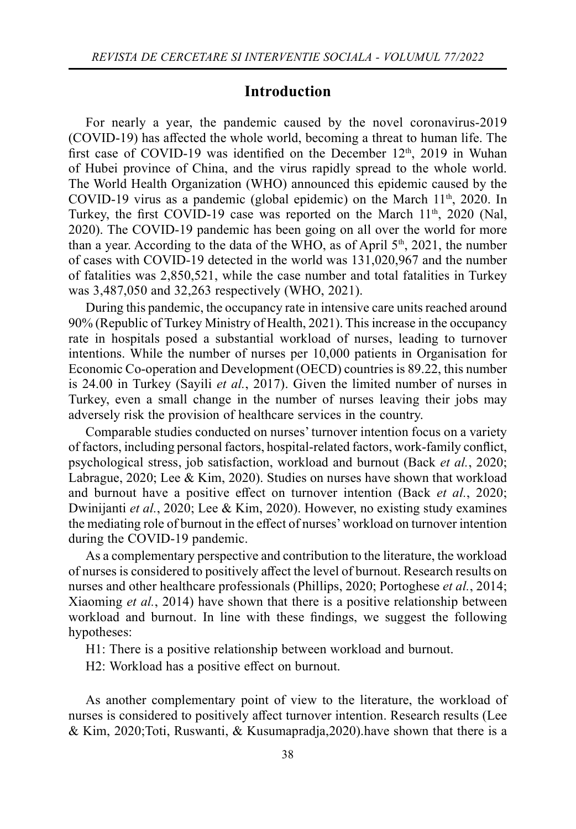## **Introduction**

For nearly a year, the pandemic caused by the novel coronavirus-2019 (COVID-19) has aff ected the whole world, becoming a threat to human life. The first case of COVID-19 was identified on the December  $12<sup>th</sup>$ , 2019 in Wuhan of Hubei province of China, and the virus rapidly spread to the whole world. The World Health Organization (WHO) announced this epidemic caused by the COVID-19 virus as a pandemic (global epidemic) on the March  $11<sup>th</sup>$ , 2020. In Turkey, the first COVID-19 case was reported on the March  $11<sup>th</sup>$ , 2020 (Nal, 2020). The COVID-19 pandemic has been going on all over the world for more than a year. According to the data of the WHO, as of April  $5<sup>th</sup>$ , 2021, the number of cases with COVID-19 detected in the world was 131,020,967 and the number of fatalities was 2,850,521, while the case number and total fatalities in Turkey was 3,487,050 and 32,263 respectively (WHO, 2021).

During this pandemic, the occupancy rate in intensive care units reached around 90% (Republic of Turkey Ministry of Health, 2021). This increase in the occupancy rate in hospitals posed a substantial workload of nurses, leading to turnover intentions. While the number of nurses per 10,000 patients in Organisation for Economic Co-operation and Development (OECD) countries is 89.22, this number is 24.00 in Turkey (Sayili *et al.*, 2017). Given the limited number of nurses in Turkey, even a small change in the number of nurses leaving their jobs may adversely risk the provision of healthcare services in the country.

Comparable studies conducted on nurses' turnover intention focus on a variety of factors, including personal factors, hospital-related factors, work-family confl ict, psychological stress, job satisfaction, workload and burnout (Back *et al.*, 2020; Labrague, 2020; Lee & Kim, 2020). Studies on nurses have shown that workload and burnout have a positive effect on turnover intention (Back *et al.*, 2020; Dwinijanti *et al.*, 2020; Lee & Kim, 2020). However, no existing study examines the mediating role of burnout in the effect of nurses' workload on turnover intention during the COVID-19 pandemic.

As a complementary perspective and contribution to the literature, the workload of nurses is considered to positively aff ect the level of burnout. Research results on nurses and other healthcare professionals (Phillips, 2020; Portoghese *et al.*, 2014; Xiaoming *et al.*, 2014) have shown that there is a positive relationship between workload and burnout. In line with these findings, we suggest the following hypotheses:

H1: There is a positive relationship between workload and burnout.

H2: Workload has a positive effect on burnout.

As another complementary point of view to the literature, the workload of nurses is considered to positively affect turnover intention. Research results (Lee & Kim, 2020; Toti, Ruswanti, & Kusumapradja, 2020). have shown that there is a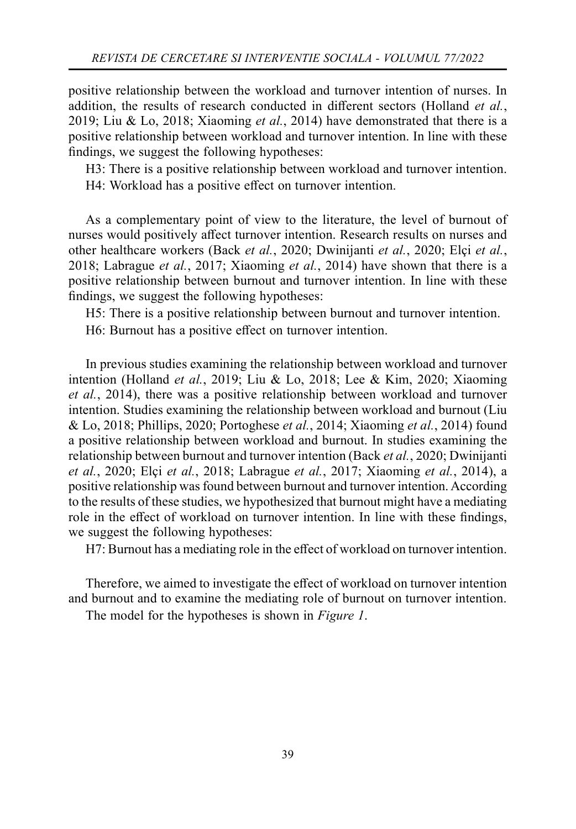positive relationship between the workload and turnover intention of nurses. In addition, the results of research conducted in different sectors (Holland *et al.*, 2019; Liu & Lo, 2018; Xiaoming *et al.*, 2014) have demonstrated that there is a positive relationship between workload and turnover intention. In line with these findings, we suggest the following hypotheses:

H3: There is a positive relationship between workload and turnover intention. H4: Workload has a positive effect on turnover intention.

As a complementary point of view to the literature, the level of burnout of nurses would positively affect turnover intention. Research results on nurses and other healthcare workers (Back *et al.*, 2020; Dwinijanti *et al.*, 2020; Elçi *et al.*, 2018; Labrague *et al.*, 2017; Xiaoming *et al.*, 2014) have shown that there is a positive relationship between burnout and turnover intention. In line with these findings, we suggest the following hypotheses:

H5: There is a positive relationship between burnout and turnover intention. H6: Burnout has a positive effect on turnover intention.

In previous studies examining the relationship between workload and turnover intention (Holland *et al.*, 2019; Liu & Lo, 2018; Lee & Kim, 2020; Xiaoming *et al.*, 2014), there was a positive relationship between workload and turnover intention. Studies examining the relationship between workload and burnout (Liu & Lo, 2018; Phillips, 2020; Portoghese *et al.*, 2014; Xiaoming *et al.*, 2014) found a positive relationship between workload and burnout. In studies examining the relationship between burnout and turnover intention (Back *et al.*, 2020; Dwinijanti *et al.*, 2020; Elçi *et al.*, 2018; Labrague *et al.*, 2017; Xiaoming *et al.*, 2014), a positive relationship was found between burnout and turnover intention. According to the results of these studies, we hypothesized that burnout might have a mediating role in the effect of workload on turnover intention. In line with these findings, we suggest the following hypotheses:

H7: Burnout has a mediating role in the effect of workload on turnover intention.

Therefore, we aimed to investigate the effect of workload on turnover intention and burnout and to examine the mediating role of burnout on turnover intention.

The model for the hypotheses is shown in *Figure 1*.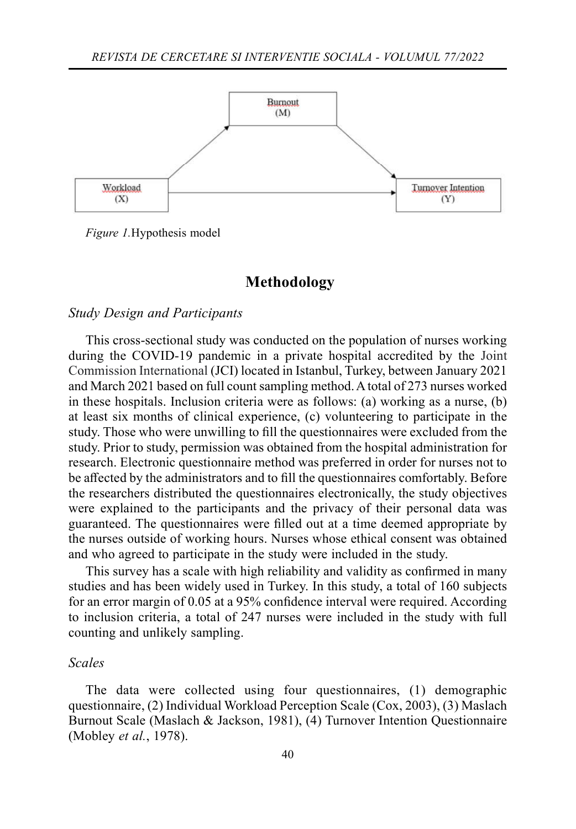

*Figure 1.*Hypothesis model

#### **Methodology**

#### *Study Design and Participants*

This cross-sectional study was conducted on the population of nurses working during the COVID-19 pandemic in a private hospital accredited by the Joint Commission International (JCI) located in Istanbul, Turkey, between January 2021 and March 2021 based on full count sampling method. A total of 273 nurses worked in these hospitals. Inclusion criteria were as follows: (a) working as a nurse, (b) at least six months of clinical experience, (c) volunteering to participate in the study. Those who were unwilling to fill the questionnaires were excluded from the study. Prior to study, permission was obtained from the hospital administration for research. Electronic questionnaire method was preferred in order for nurses not to be affected by the administrators and to fill the questionnaires comfortably. Before the researchers distributed the questionnaires electronically, the study objectives were explained to the participants and the privacy of their personal data was guaranteed. The questionnaires were filled out at a time deemed appropriate by the nurses outside of working hours. Nurses whose ethical consent was obtained and who agreed to participate in the study were included in the study.

This survey has a scale with high reliability and validity as confirmed in many studies and has been widely used in Turkey. In this study, a total of 160 subjects for an error margin of  $0.05$  at a 95% confidence interval were required. According to inclusion criteria, a total of 247 nurses were included in the study with full counting and unlikely sampling.

#### *Scales*

The data were collected using four questionnaires, (1) demographic questionnaire, (2) Individual Workload Perception Scale (Cox, 2003), (3) Maslach Burnout Scale (Maslach & Jackson, 1981), (4) Turnover Intention Questionnaire (Mobley *et al.*, 1978).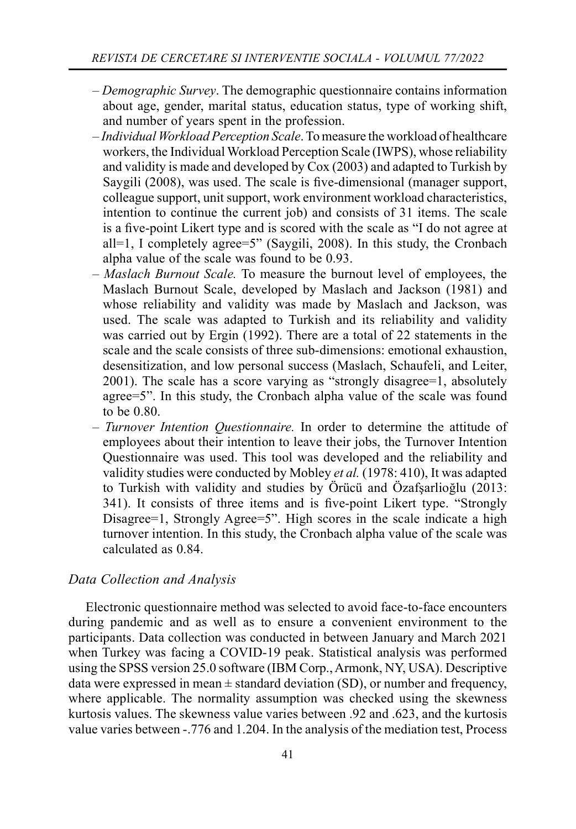- *Demographic Survey*. The demographic questionnaire contains information about age, gender, marital status, education status, type of working shift, and number of years spent in the profession.
- *Individual Workload Perception Scale*. To measure the workload of healthcare workers, the Individual Workload Perception Scale (IWPS), whose reliability and validity is made and developed by Cox (2003) and adapted to Turkish by Saygili (2008), was used. The scale is five-dimensional (manager support, colleague support, unit support, work environment workload characteristics, intention to continue the current job) and consists of 31 items. The scale is a five-point Likert type and is scored with the scale as "I do not agree at all=1, I completely agree=5" (Saygili, 2008). In this study, the Cronbach alpha value of the scale was found to be 0.93.
- *Maslach Burnout Scale.* To measure the burnout level of employees, the Maslach Burnout Scale, developed by Maslach and Jackson (1981) and whose reliability and validity was made by Maslach and Jackson, was used. The scale was adapted to Turkish and its reliability and validity was carried out by Ergin (1992). There are a total of 22 statements in the scale and the scale consists of three sub-dimensions: emotional exhaustion, desensitization, and low personal success (Maslach, Schaufeli, and Leiter, 2001). The scale has a score varying as "strongly disagree=1, absolutely agree=5". In this study, the Cronbach alpha value of the scale was found to be 0.80.
- *Turnover Intention Questionnaire.* In order to determine the attitude of employees about their intention to leave their jobs, the Turnover Intention Questionnaire was used. This tool was developed and the reliability and validity studies were conducted by Mobley *et al.* (1978: 410), It was adapted to Turkish with validity and studies by Örücü and Özafşarlioğlu (2013: 341). It consists of three items and is five-point Likert type. "Strongly Disagree=1, Strongly Agree=5". High scores in the scale indicate a high turnover intention. In this study, the Cronbach alpha value of the scale was calculated as 0.84.

#### *Data Collection and Analysis*

Electronic questionnaire method was selected to avoid face-to-face encounters during pandemic and as well as to ensure a convenient environment to the participants. Data collection was conducted in between January and March 2021 when Turkey was facing a COVID-19 peak. Statistical analysis was performed using the SPSS version 25.0 software (IBM Corp., Armonk, NY, USA). Descriptive data were expressed in mean  $\pm$  standard deviation (SD), or number and frequency, where applicable. The normality assumption was checked using the skewness kurtosis values. The skewness value varies between .92 and .623, and the kurtosis value varies between -.776 and 1.204. In the analysis of the mediation test, Process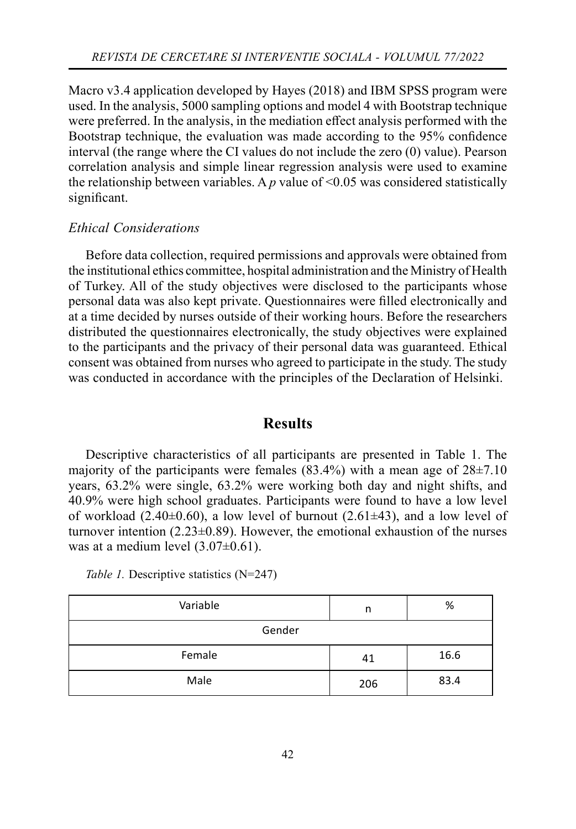Macro v3.4 application developed by Hayes (2018) and IBM SPSS program were used. In the analysis, 5000 sampling options and model 4 with Bootstrap technique were preferred. In the analysis, in the mediation effect analysis performed with the Bootstrap technique, the evaluation was made according to the 95% confidence interval (the range where the CI values do not include the zero (0) value). Pearson correlation analysis and simple linear regression analysis were used to examine the relationship between variables. A  $p$  value of  $\leq 0.05$  was considered statistically significant.

#### *Ethical Considerations*

Before data collection, required permissions and approvals were obtained from the institutional ethics committee, hospital administration and the Ministry of Health of Turkey. All of the study objectives were disclosed to the participants whose personal data was also kept private. Questionnaires were filled electronically and at a time decided by nurses outside of their working hours. Before the researchers distributed the questionnaires electronically, the study objectives were explained to the participants and the privacy of their personal data was guaranteed. Ethical consent was obtained from nurses who agreed to participate in the study. The study was conducted in accordance with the principles of the Declaration of Helsinki.

## **Results**

Descriptive characteristics of all participants are presented in Table 1. The majority of the participants were females  $(83.4\%)$  with a mean age of  $28\pm7.10$ years, 63.2% were single, 63.2% were working both day and night shifts, and 40.9% were high school graduates. Participants were found to have a low level of workload (2.40 $\pm$ 0.60), a low level of burnout (2.61 $\pm$ 43), and a low level of turnover intention  $(2.23\pm0.89)$ . However, the emotional exhaustion of the nurses was at a medium level (3.07±0.61).

*Table 1.* Descriptive statistics (N=247)

| Variable | n   | %    |  |  |  |
|----------|-----|------|--|--|--|
| Gender   |     |      |  |  |  |
| Female   | 41  | 16.6 |  |  |  |
| Male     | 206 | 83.4 |  |  |  |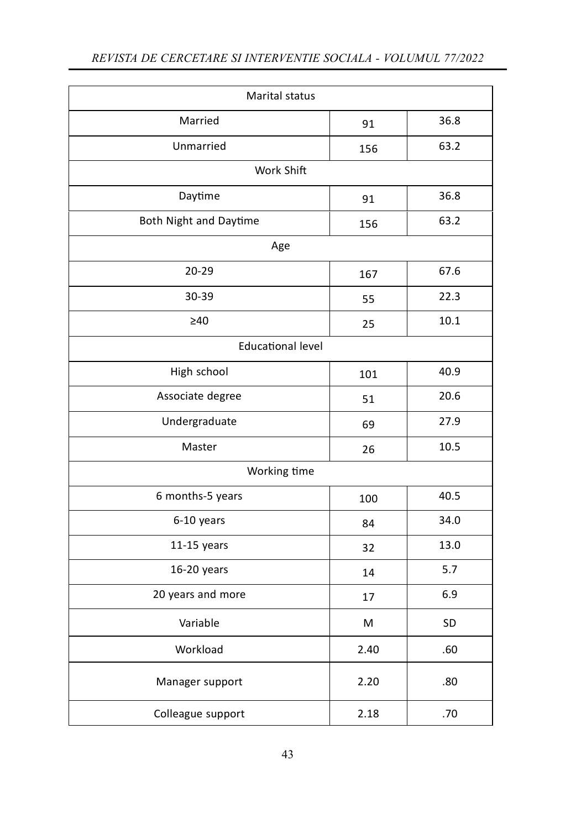| Marital status           |      |      |  |  |  |  |  |
|--------------------------|------|------|--|--|--|--|--|
| Married                  | 91   | 36.8 |  |  |  |  |  |
| Unmarried                | 156  | 63.2 |  |  |  |  |  |
| Work Shift               |      |      |  |  |  |  |  |
| Daytime                  | 91   | 36.8 |  |  |  |  |  |
| Both Night and Daytime   | 156  | 63.2 |  |  |  |  |  |
| Age                      |      |      |  |  |  |  |  |
| 20-29                    | 167  | 67.6 |  |  |  |  |  |
| 30-39                    | 55   | 22.3 |  |  |  |  |  |
| $\geq 40$                | 25   | 10.1 |  |  |  |  |  |
| <b>Educational level</b> |      |      |  |  |  |  |  |
| High school              | 101  | 40.9 |  |  |  |  |  |
| Associate degree         | 51   | 20.6 |  |  |  |  |  |
| Undergraduate            | 69   | 27.9 |  |  |  |  |  |
| Master                   | 26   | 10.5 |  |  |  |  |  |
| Working time             |      |      |  |  |  |  |  |
| 6 months-5 years         | 100  | 40.5 |  |  |  |  |  |
| 6-10 years               | 84   | 34.0 |  |  |  |  |  |
| $11-15$ years            | 32   | 13.0 |  |  |  |  |  |
| 16-20 years              | 14   | 5.7  |  |  |  |  |  |
| 20 years and more        | 17   | 6.9  |  |  |  |  |  |
| Variable                 | M    | SD   |  |  |  |  |  |
| Workload                 | 2.40 | .60  |  |  |  |  |  |
| Manager support          | 2.20 | .80  |  |  |  |  |  |
| Colleague support        | 2.18 | .70  |  |  |  |  |  |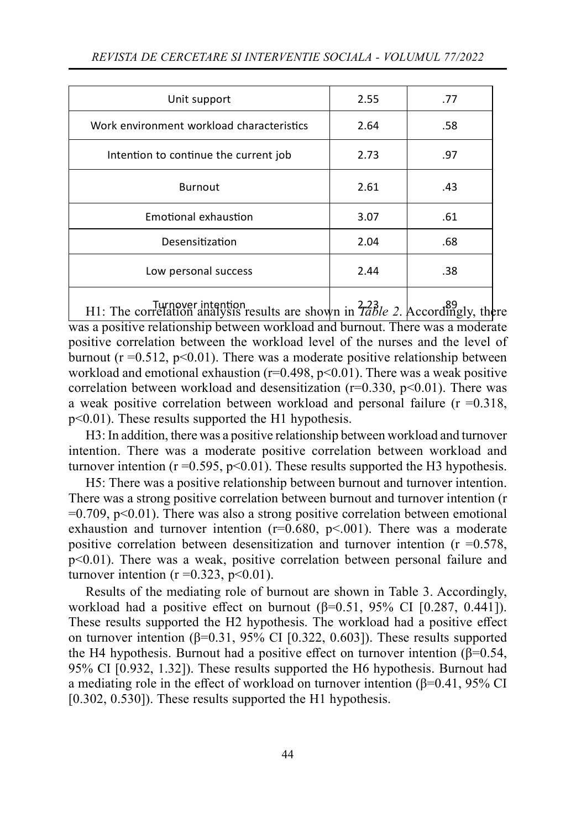| Unit support                              | 2.55 | .77 |
|-------------------------------------------|------|-----|
| Work environment workload characteristics | 2.64 | .58 |
| Intention to continue the current job     | 2.73 | .97 |
| <b>Burnout</b>                            | 2.61 | .43 |
| Emotional exhaustion                      | 3.07 | .61 |
| Desensitization                           | 2.04 | .68 |
| Low personal success                      | 2.44 | .38 |
|                                           |      |     |

H1: The correlation analysis results are shown in  $\frac{223}{7able}$  2. Accordingly, there was a positive relationship between workload and burnout. There was a moderate positive correlation between the workload level of the nurses and the level of burnout ( $r = 0.512$ ,  $p \le 0.01$ ). There was a moderate positive relationship between workload and emotional exhaustion ( $r=0.498$ ,  $p<0.01$ ). There was a weak positive correlation between workload and desensitization  $(r=0.330, p<0.01)$ . There was a weak positive correlation between workload and personal failure ( $r = 0.318$ , p<0.01). These results supported the H1 hypothesis.

H3: In addition, there was a positive relationship between workload and turnover intention. There was a moderate positive correlation between workload and turnover intention ( $r = 0.595$ ,  $p < 0.01$ ). These results supported the H3 hypothesis.

H5: There was a positive relationship between burnout and turnover intention. There was a strong positive correlation between burnout and turnover intention (r  $=0.709$ ,  $p<0.01$ ). There was also a strong positive correlation between emotional exhaustion and turnover intention  $(r=0.680, p<0.01)$ . There was a moderate positive correlation between desensitization and turnover intention  $(r = 0.578)$ , p<0.01). There was a weak, positive correlation between personal failure and turnover intention ( $r = 0.323$ ,  $p < 0.01$ ).

Results of the mediating role of burnout are shown in Table 3. Accordingly, workload had a positive effect on burnout ( $\beta$ =0.51, 95% CI [0.287, 0.441]). These results supported the H2 hypothesis. The workload had a positive effect on turnover intention ( $β=0.31$ ,  $95%$  CI [0.322, 0.603]). These results supported the H4 hypothesis. Burnout had a positive effect on turnover intention ( $\beta$ =0.54, 95% CI [0.932, 1.32]). These results supported the H6 hypothesis. Burnout had a mediating role in the effect of workload on turnover intention ( $\beta$ =0.41, 95% CI [0.302, 0.530]). These results supported the H1 hypothesis.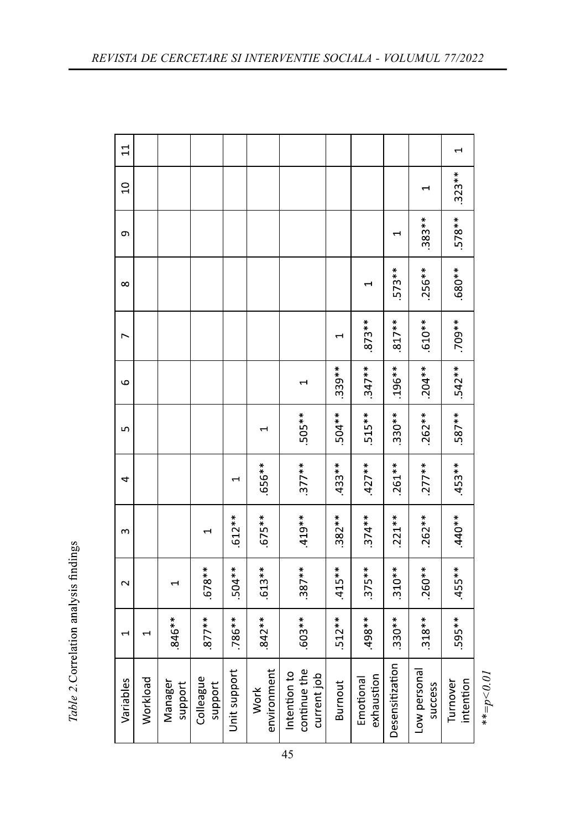| $\Xi$                 |          |                    |                      |              |                     |                                             |          |                         |                 |                         |                       |
|-----------------------|----------|--------------------|----------------------|--------------|---------------------|---------------------------------------------|----------|-------------------------|-----------------|-------------------------|-----------------------|
| $\overline{a}$        |          |                    |                      |              |                     |                                             |          |                         |                 |                         | $.323**$              |
| Ō                     |          |                    |                      |              |                     |                                             |          |                         | $\blacksquare$  | $.383**$                | $578**$               |
| $\infty$              |          |                    |                      |              |                     |                                             |          |                         | $.573**$        | $.256**$                | $*80*$                |
| ∼                     |          |                    |                      |              |                     |                                             |          | $.873**$                | $.817**$        | $.610**$                | $**601$ .             |
| م                     |          |                    |                      |              |                     |                                             | $.339**$ | $.347**$                | $.196**$        | $.204***$               | $-542**$              |
| ഥ                     |          |                    |                      |              | ÷                   | $.505**$                                    | $.504**$ | $.515***$               | $.330**$        | $.262**$                | $.587***$             |
| 4                     |          |                    |                      | $\mathbf -$  | $.656**$            | $.377**$                                    | $433**$  | $.427**$                | $.261**$        | $.277**$                | $.453**$              |
| m                     |          |                    |                      | $612**$      | $.675**$            | $.419**$                                    | $.382**$ | $.374**$                | $.221**$        | $.262**$                | $.440**$              |
| $\mathbf{\mathsf{N}}$ |          |                    | $.678**$             | $504**$      | $.613**$            | $.387**$                                    | $.415**$ | $.375**$                | $.310**$        | $.260**$                | $.455***$             |
| $\overline{ }$        |          | .846**             | $877**$              | $.786**$     | $.842**$            | $*803$ .                                    | $.512**$ | $***$                   | $.330**$        | $.318**$                | $595**$               |
| Variables             | Workload | Manager<br>support | Colleague<br>support | Unit support | environment<br>Work | continue the<br>Intention to<br>current job | Burnout  | exhaustion<br>Emotional | Desensitization | Low personal<br>success | intention<br>Turnover |

Table 2. Correlation analysis findings

 $* * = p < 0.01$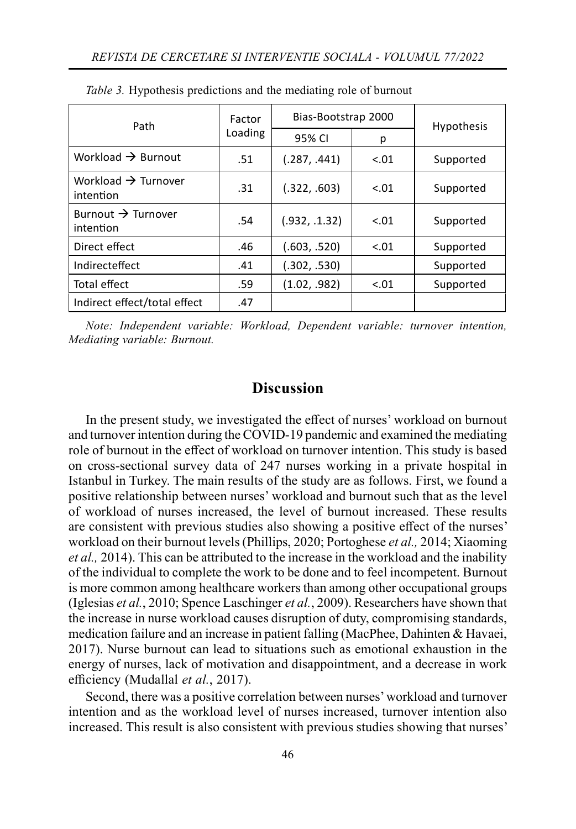| Path                                         | Factor  | Bias-Bootstrap 2000 | <b>Hypothesis</b> |           |  |
|----------------------------------------------|---------|---------------------|-------------------|-----------|--|
|                                              | Loading | 95% CI              | р                 |           |  |
| Workload $\rightarrow$ Burnout               | .51     | (.287, .441)        | $-.01$            | Supported |  |
| Workload $\rightarrow$ Turnover<br>intention | .31     | (.322, .603)        | $-.01$            | Supported |  |
| Burnout $\rightarrow$ Turnover<br>intention  | .54     | (.932, .1.32)       | $-.01$            | Supported |  |
| Direct effect                                | .46     | (.603, .520)        | < 0.01            | Supported |  |
| Indirecteffect                               | .41     | (.302, .530)        |                   | Supported |  |
| Total effect                                 | .59     | (1.02, .982)        | $-.01$            | Supported |  |
| Indirect effect/total effect                 | .47     |                     |                   |           |  |

*Table 3.* Hypothesis predictions and the mediating role of burnout

*Note: Independent variable: Workload, Dependent variable: turnover intention, Mediating variable: Burnout.*

## **Discussion**

In the present study, we investigated the effect of nurses' workload on burnout and turnover intention during the COVID-19 pandemic and examined the mediating role of burnout in the effect of workload on turnover intention. This study is based on cross-sectional survey data of 247 nurses working in a private hospital in Istanbul in Turkey. The main results of the study are as follows. First, we found a positive relationship between nurses' workload and burnout such that as the level of workload of nurses increased, the level of burnout increased. These results are consistent with previous studies also showing a positive effect of the nurses' workload on their burnout levels (Phillips, 2020; Portoghese *et al.,* 2014; Xiaoming *et al.,* 2014). This can be attributed to the increase in the workload and the inability of the individual to complete the work to be done and to feel incompetent. Burnout is more common among healthcare workers than among other occupational groups (Iglesias *et al.*, 2010; Spence Laschinger *et al.*, 2009). Researchers have shown that the increase in nurse workload causes disruption of duty, compromising standards, medication failure and an increase in patient falling (MacPhee, Dahinten & Havaei, 2017). Nurse burnout can lead to situations such as emotional exhaustion in the energy of nurses, lack of motivation and disappointment, and a decrease in work efficiency (Mudallal et al., 2017).

Second, there was a positive correlation between nurses' workload and turnover intention and as the workload level of nurses increased, turnover intention also increased. This result is also consistent with previous studies showing that nurses'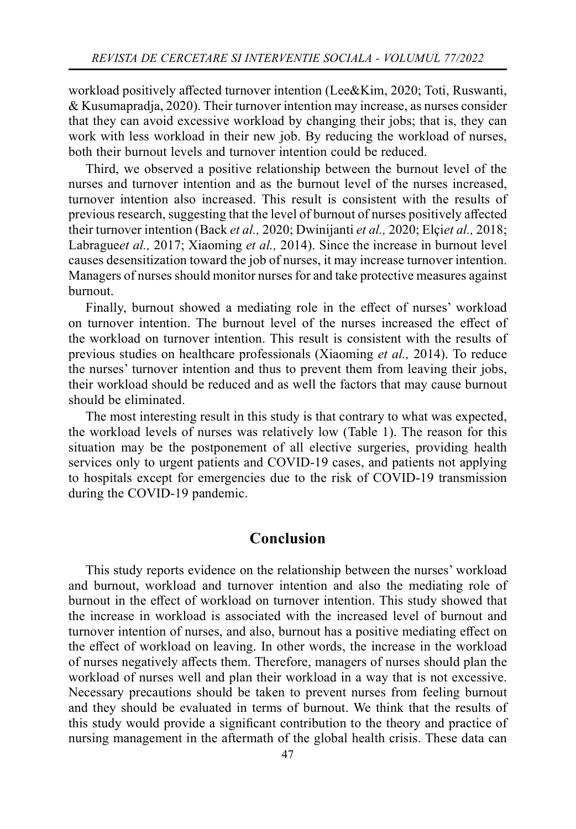workload positively affected turnover intention (Lee&Kim, 2020; Toti, Ruswanti, & Kusumapradja, 2020). Their turnover intention may increase, as nurses consider that they can avoid excessive workload by changing their jobs; that is, they can work with less workload in their new job. By reducing the workload of nurses, both their burnout levels and turnover intention could be reduced.

Third, we observed a positive relationship between the burnout level of the nurses and turnover intention and as the burnout level of the nurses increased, turnover intention also increased. This result is consistent with the results of previous research, suggesting that the level of burnout of nurses positively affected their turnover intention (Back *et al.,* 2020; Dwinijanti *et al.,* 2020; Elçi*et al.,* 2018; Labrague*et al.,* 2017; Xiaoming *et al.,* 2014). Since the increase in burnout level causes desensitization toward the job of nurses, it may increase turnover intention. Managers of nurses should monitor nurses for and take protective measures against burnout.

Finally, burnout showed a mediating role in the effect of nurses' workload on turnover intention. The burnout level of the nurses increased the effect of the workload on turnover intention. This result is consistent with the results of previous studies on healthcare professionals (Xiaoming *et al.,* 2014). To reduce the nurses' turnover intention and thus to prevent them from leaving their jobs, their workload should be reduced and as well the factors that may cause burnout should be eliminated.

The most interesting result in this study is that contrary to what was expected, the workload levels of nurses was relatively low (Table 1). The reason for this situation may be the postponement of all elective surgeries, providing health services only to urgent patients and COVID-19 cases, and patients not applying to hospitals except for emergencies due to the risk of COVID-19 transmission during the COVID-19 pandemic.

## **Conclusion**

This study reports evidence on the relationship between the nurses' workload and burnout, workload and turnover intention and also the mediating role of burnout in the effect of workload on turnover intention. This study showed that the increase in workload is associated with the increased level of burnout and turnover intention of nurses, and also, burnout has a positive mediating effect on the effect of workload on leaving. In other words, the increase in the workload of nurses negatively aff ects them. Therefore, managers of nurses should plan the workload of nurses well and plan their workload in a way that is not excessive. Necessary precautions should be taken to prevent nurses from feeling burnout and they should be evaluated in terms of burnout. We think that the results of this study would provide a significant contribution to the theory and practice of nursing management in the aftermath of the global health crisis. These data can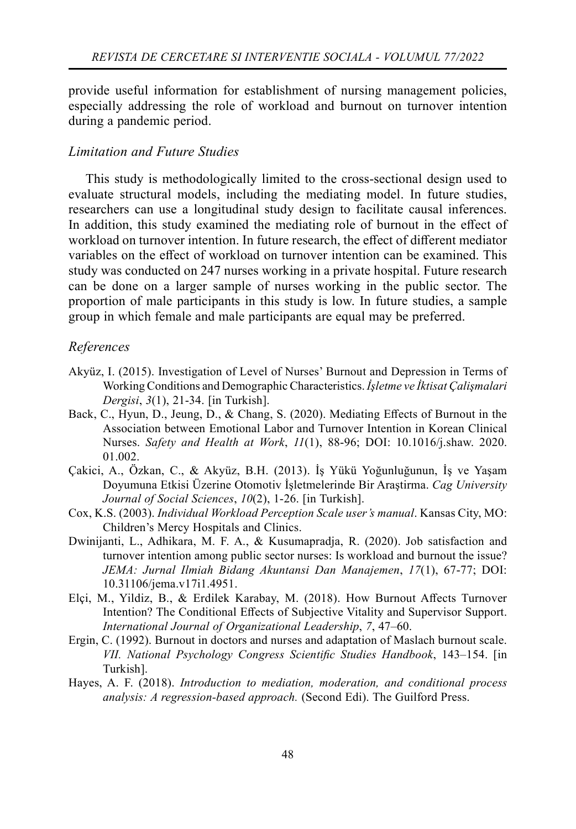provide useful information for establishment of nursing management policies, especially addressing the role of workload and burnout on turnover intention during a pandemic period.

## *Limitation and Future Studies*

This study is methodologically limited to the cross-sectional design used to evaluate structural models, including the mediating model. In future studies, researchers can use a longitudinal study design to facilitate causal inferences. In addition, this study examined the mediating role of burnout in the effect of workload on turnover intention. In future research, the effect of different mediator variables on the effect of workload on turnover intention can be examined. This study was conducted on 247 nurses working in a private hospital. Future research can be done on a larger sample of nurses working in the public sector. The proportion of male participants in this study is low. In future studies, a sample group in which female and male participants are equal may be preferred.

#### *References*

- Akyüz, I. (2015). Investigation of Level of Nurses' Burnout and Depression in Terms of Working Conditions and Demographic Characteristics. *İşletme ve İktisat Çalişmalari Dergisi*, *3*(1), 21-34. [in Turkish].
- Back, C., Hyun, D., Jeung, D., & Chang, S. (2020). Mediating Effects of Burnout in the Association between Emotional Labor and Turnover Intention in Korean Clinical Nurses. *Safety and Health at Work*, *11*(1), 88-96; DOI: 10.1016/j.shaw. 2020. 01.002.
- Çakici, A., Özkan, C., & Akyüz, B.H. (2013). İş Yükü Yoğunluğunun, İş ve Yaşam Doyumuna Etkisi Üzerine Otomotiv İşletmelerinde Bir Araştirma. *Cag University Journal of Social Sciences*, *10*(2), 1-26. [in Turkish].
- Cox, K.S. (2003). *Individual Workload Perception Scale user's manual*. Kansas City, MO: Children's Mercy Hospitals and Clinics.
- Dwinijanti, L., Adhikara, M. F. A., & Kusumapradja, R. (2020). Job satisfaction and turnover intention among public sector nurses: Is workload and burnout the issue? *JEMA: Jurnal Ilmiah Bidang Akuntansi Dan Manajemen*, *17*(1), 67-77; DOI: 10.31106/jema.v17i1.4951.
- Elçi, M., Yildiz, B., & Erdilek Karabay, M. (2018). How Burnout Affects Turnover Intention? The Conditional Effects of Subjective Vitality and Supervisor Support. *International Journal of Organizational Leadership*, *7*, 47–60.
- Ergin, C. (1992). Burnout in doctors and nurses and adaptation of Maslach burnout scale. *VII. National Psychology Congress Scientifi c Studies Handbook*, 143–154. [in Turkish].
- Hayes, A. F. (2018). *Introduction to mediation, moderation, and conditional process analysis: A regression-based approach.* (Second Edi). The Guilford Press.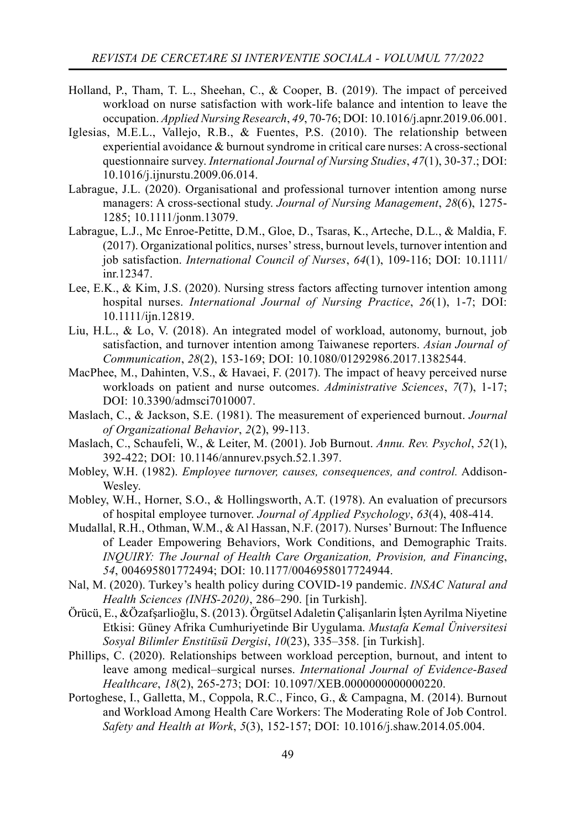- Holland, P., Tham, T. L., Sheehan, C., & Cooper, B. (2019). The impact of perceived workload on nurse satisfaction with work-life balance and intention to leave the occupation. *Applied Nursing Research*, *49*, 70-76; DOI: 10.1016/j.apnr.2019.06.001.
- Iglesias, M.E.L., Vallejo, R.B., & Fuentes, P.S. (2010). The relationship between experiential avoidance & burnout syndrome in critical care nurses: A cross-sectional questionnaire survey. *International Journal of Nursing Studies*, *47*(1), 30-37.; DOI: 10.1016/j.ijnurstu.2009.06.014.
- Labrague, J.L. (2020). Organisational and professional turnover intention among nurse managers: A cross‐sectional study. *Journal of Nursing Management*, *28*(6), 1275- 1285; 10.1111/jonm.13079.
- Labrague, L.J., Mc Enroe‐Petitte, D.M., Gloe, D., Tsaras, K., Arteche, D.L., & Maldia, F. (2017). Organizational politics, nurses' stress, burnout levels, turnover intention and job satisfaction. *International Council of Nurses*, *64*(1), 109-116; DOI: 10.1111/ inr.12347.
- Lee, E.K., & Kim, J.S. (2020). Nursing stress factors affecting turnover intention among hospital nurses. *International Journal of Nursing Practice*, *26*(1), 1-7; DOI: 10.1111/ijn.12819.
- Liu, H.L., & Lo, V. (2018). An integrated model of workload, autonomy, burnout, job satisfaction, and turnover intention among Taiwanese reporters. *Asian Journal of Communication*, *28*(2), 153-169; DOI: 10.1080/01292986.2017.1382544.
- MacPhee, M., Dahinten, V.S., & Havaei, F. (2017). The impact of heavy perceived nurse workloads on patient and nurse outcomes. *Administrative Sciences*, *7*(7), 1-17; DOI: 10.3390/admsci7010007.
- Maslach, C., & Jackson, S.E. (1981). The measurement of experienced burnout. *Journal of Organizational Behavior*, *2*(2), 99-113.
- Maslach, C., Schaufeli, W., & Leiter, M. (2001). Job Burnout. *Annu. Rev. Psychol*, *52*(1), 392-422; DOI: 10.1146/annurev.psych.52.1.397.
- Mobley, W.H. (1982). *Employee turnover, causes, consequences, and control.* Addison-Wesley.
- Mobley, W.H., Horner, S.O., & Hollingsworth, A.T. (1978). An evaluation of precursors of hospital employee turnover. *Journal of Applied Psychology*, *63*(4), 408-414.
- Mudallal, R.H., Othman, W.M., & Al Hassan, N.F. (2017). Nurses' Burnout: The Influence of Leader Empowering Behaviors, Work Conditions, and Demographic Traits. *INQUIRY: The Journal of Health Care Organization, Provision, and Financing*, *54*, 004695801772494; DOI: 10.1177/0046958017724944.
- Nal, M. (2020). Turkey's health policy during COVID-19 pandemic. *INSAC Natural and Health Sciences (INHS-2020)*, 286–290. [in Turkish].
- Örücü, E., &Özafşarlioğlu, S. (2013). Örgütsel Adaletin Çalişanlarin İşten Ayrilma Niyetine Etkisi: Güney Afrika Cumhuriyetinde Bir Uygulama. *Mustafa Kemal Üniversitesi Sosyal Bilimler Enstitüsü Dergisi*, *10*(23), 335–358. [in Turkish].
- Phillips, C. (2020). Relationships between workload perception, burnout, and intent to leave among medical–surgical nurses. *International Journal of Evidence-Based Healthcare*, *18*(2), 265-273; DOI: 10.1097/XEB.0000000000000220.
- Portoghese, I., Galletta, M., Coppola, R.C., Finco, G., & Campagna, M. (2014). Burnout and Workload Among Health Care Workers: The Moderating Role of Job Control. *Safety and Health at Work*, *5*(3), 152-157; DOI: 10.1016/j.shaw.2014.05.004.